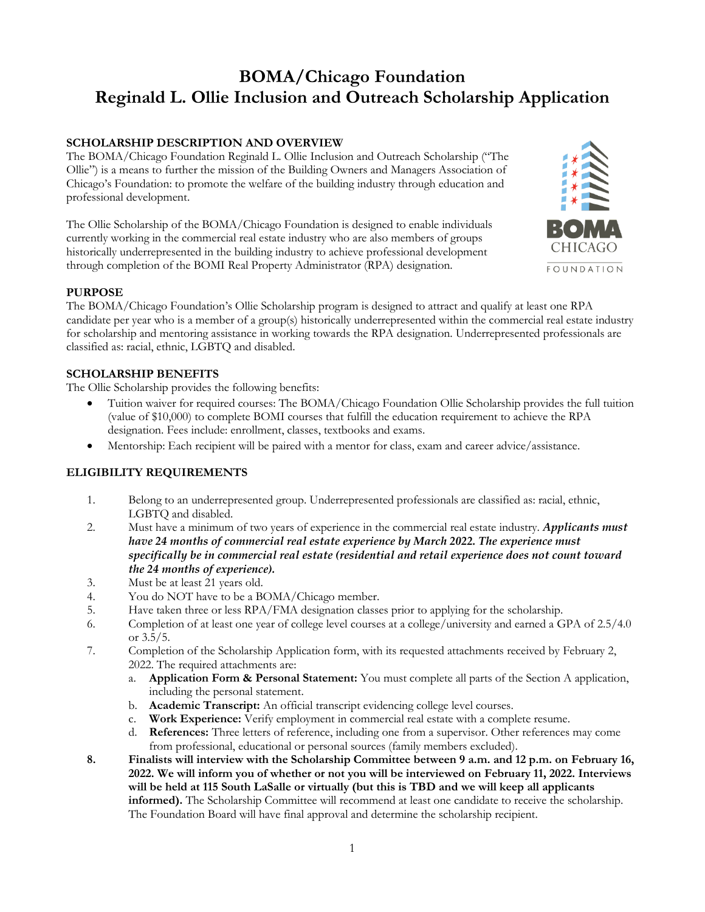# **BOMA/Chicago Foundation Reginald L. Ollie Inclusion and Outreach Scholarship Application**

# **SCHOLARSHIP DESCRIPTION AND OVERVIEW**

The BOMA/Chicago Foundation Reginald L. Ollie Inclusion and Outreach Scholarship ("The Ollie") is a means to further the mission of the Building Owners and Managers Association of Chicago's Foundation: to promote the welfare of the building industry through education and professional development.

The Ollie Scholarship of the BOMA/Chicago Foundation is designed to enable individuals currently working in the commercial real estate industry who are also members of groups historically underrepresented in the building industry to achieve professional development through completion of the BOMI Real Property Administrator (RPA) designation.



# **PURPOSE**

The BOMA/Chicago Foundation's Ollie Scholarship program is designed to attract and qualify at least one RPA candidate per year who is a member of a group(s) historically underrepresented within the commercial real estate industry for scholarship and mentoring assistance in working towards the RPA designation. Underrepresented professionals are classified as: racial, ethnic, LGBTQ and disabled.

## **SCHOLARSHIP BENEFITS**

The Ollie Scholarship provides the following benefits:

- Tuition waiver for required courses: The BOMA/Chicago Foundation Ollie Scholarship provides the full tuition (value of \$10,000) to complete BOMI courses that fulfill the education requirement to achieve the RPA designation. Fees include: enrollment, classes, textbooks and exams.
- Mentorship: Each recipient will be paired with a mentor for class, exam and career advice/assistance.

## **ELIGIBILITY REQUIREMENTS**

- 1. Belong to an underrepresented group. Underrepresented professionals are classified as: racial, ethnic, LGBTQ and disabled.
- 2. Must have a minimum of two years of experience in the commercial real estate industry. *Applicants must have 24 months of commercial real estate experience by March 2022. The experience must specifically be in commercial real estate (residential and retail experience does not count toward the 24 months of experience).*
- 3. Must be at least 21 years old.
- 4. You do NOT have to be a BOMA/Chicago member.
- 5. Have taken three or less RPA/FMA designation classes prior to applying for the scholarship.
- 6. Completion of at least one year of college level courses at a college/university and earned a GPA of 2.5/4.0 or  $3.5/5$ .
- 7. Completion of the Scholarship Application form, with its requested attachments received by February 2, 2022. The required attachments are:
	- a. **Application Form & Personal Statement:** You must complete all parts of the Section A application, including the personal statement.
	- b. **Academic Transcript:** An official transcript evidencing college level courses.
	- c. **Work Experience:** Verify employment in commercial real estate with a complete resume.
	- d. **References:** Three letters of reference, including one from a supervisor. Other references may come from professional, educational or personal sources (family members excluded).
- **8. Finalists will interview with the Scholarship Committee between 9 a.m. and 12 p.m. on February 16, 2022. We will inform you of whether or not you will be interviewed on February 11, 2022. Interviews will be held at 115 South LaSalle or virtually (but this is TBD and we will keep all applicants informed).** The Scholarship Committee will recommend at least one candidate to receive the scholarship. The Foundation Board will have final approval and determine the scholarship recipient.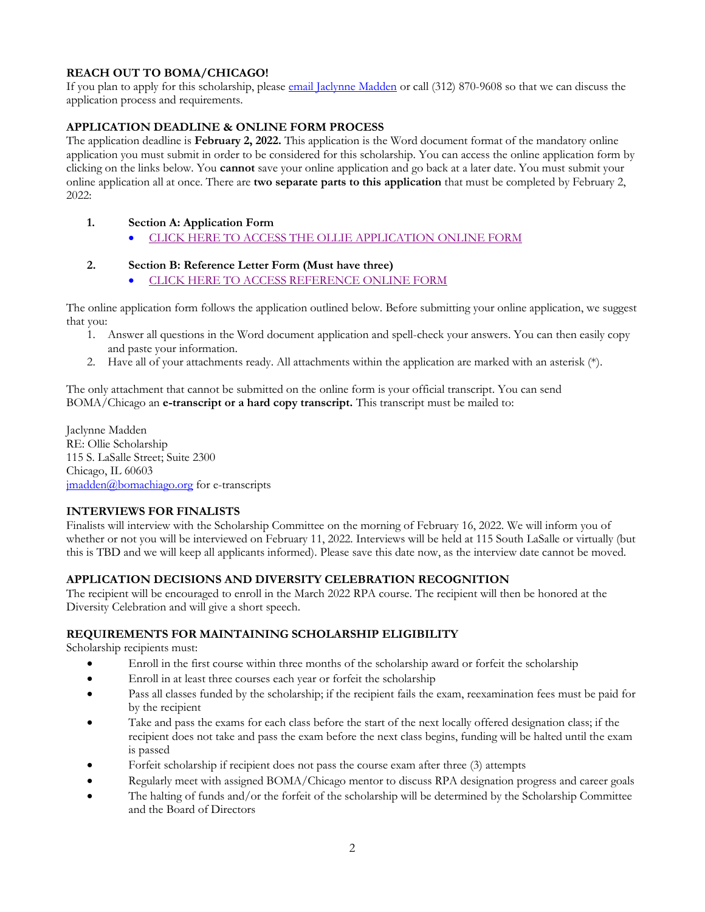# **REACH OUT TO BOMA/CHICAGO!**

If you plan to apply for this scholarship, pleas[e email Jaclynne Madden](mailto:jmadden@bomachicago.org?subject=Ollie%20Scholarship%20Application) or call (312) 870-9608 so that we can discuss the application process and requirements.

# **APPLICATION DEADLINE & ONLINE FORM PROCESS**

The application deadline is **February 2, 2022.** This application is the Word document format of the mandatory online application you must submit in order to be considered for this scholarship. You can access the online application form by clicking on the links below. You **cannot** save your online application and go back at a later date. You must submit your online application all at once. There are **two separate parts to this application** that must be completed by February 2, 2022:

## **1. Section A: Application Form**

• [CLICK HERE TO ACCESS THE OLLIE APPLICATION](https://bomachicago.wufoo.com/forms/ollie-scholarship-application-form-section-a/) ONLINE FORM

## **2. Section B: Reference Letter Form (Must have three)**

• [CLICK HERE TO ACCESS REFERENCE ONLINE FORM](https://bomachicago.wufoo.com/forms/ollie-scholarship-reference-form-section-b/)

The online application form follows the application outlined below. Before submitting your online application, we suggest that you:

- 1. Answer all questions in the Word document application and spell-check your answers. You can then easily copy and paste your information.
- 2. Have all of your attachments ready. All attachments within the application are marked with an asterisk (\*).

The only attachment that cannot be submitted on the online form is your official transcript. You can send BOMA/Chicago an **e-transcript or a hard copy transcript.** This transcript must be mailed to:

Jaclynne Madden RE: Ollie Scholarship 115 S. LaSalle Street; Suite 2300 Chicago, IL 60603 [jmadden@bomachiago.org](mailto:jmadden@bomachiago.org) for e-transcripts

## **INTERVIEWS FOR FINALISTS**

Finalists will interview with the Scholarship Committee on the morning of February 16, 2022. We will inform you of whether or not you will be interviewed on February 11, 2022. Interviews will be held at 115 South LaSalle or virtually (but this is TBD and we will keep all applicants informed). Please save this date now, as the interview date cannot be moved.

## **APPLICATION DECISIONS AND DIVERSITY CELEBRATION RECOGNITION**

The recipient will be encouraged to enroll in the March 2022 RPA course. The recipient will then be honored at the Diversity Celebration and will give a short speech.

## **REQUIREMENTS FOR MAINTAINING SCHOLARSHIP ELIGIBILITY**

Scholarship recipients must:

- Enroll in the first course within three months of the scholarship award or forfeit the scholarship
- Enroll in at least three courses each year or forfeit the scholarship
- Pass all classes funded by the scholarship; if the recipient fails the exam, reexamination fees must be paid for by the recipient
- Take and pass the exams for each class before the start of the next locally offered designation class; if the recipient does not take and pass the exam before the next class begins, funding will be halted until the exam is passed
- Forfeit scholarship if recipient does not pass the course exam after three (3) attempts
- Regularly meet with assigned BOMA/Chicago mentor to discuss RPA designation progress and career goals
- The halting of funds and/or the forfeit of the scholarship will be determined by the Scholarship Committee and the Board of Directors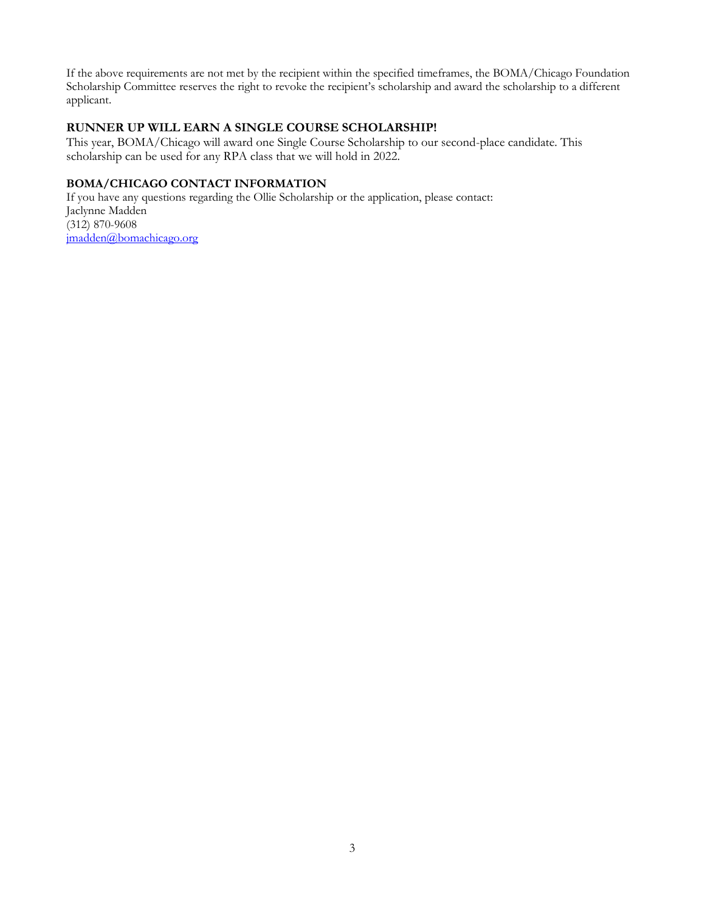If the above requirements are not met by the recipient within the specified timeframes, the BOMA/Chicago Foundation Scholarship Committee reserves the right to revoke the recipient's scholarship and award the scholarship to a different applicant.

#### **RUNNER UP WILL EARN A SINGLE COURSE SCHOLARSHIP!**

This year, BOMA/Chicago will award one Single Course Scholarship to our second-place candidate. This scholarship can be used for any RPA class that we will hold in 2022.

# **BOMA/CHICAGO CONTACT INFORMATION**

If you have any questions regarding the Ollie Scholarship or the application, please contact: Jaclynne Madden (312) 870-9608 [jmadden@bomachicago.org](mailto:jmadden@bomachicago.org)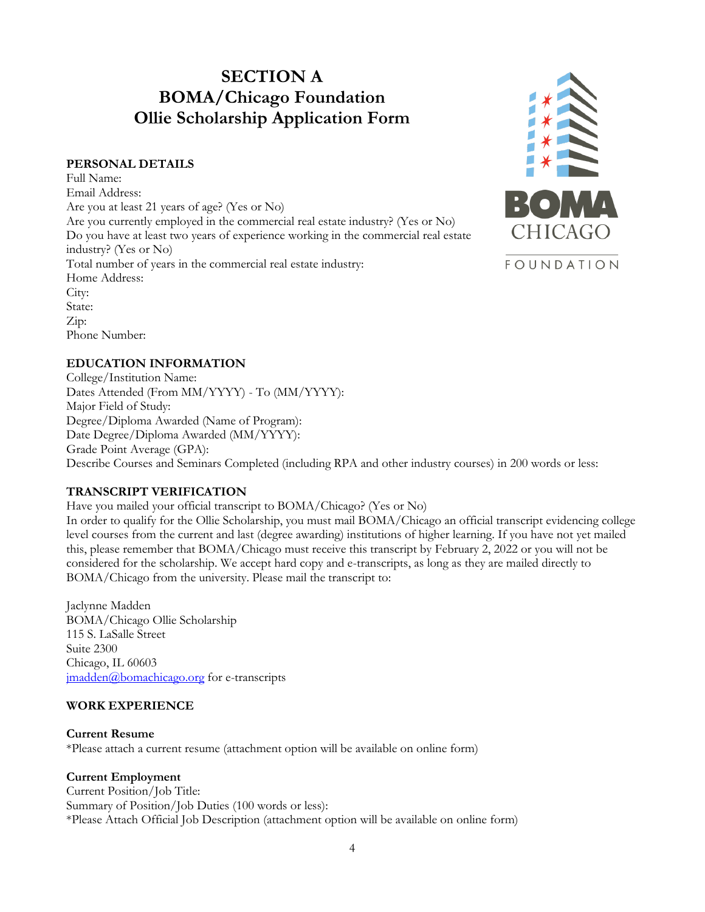# **SECTION A BOMA/Chicago Foundation Ollie Scholarship Application Form**

#### **PERSONAL DETAILS**

Full Name: Email Address: Are you at least 21 years of age? (Yes or No) Are you currently employed in the commercial real estate industry? (Yes or No) Do you have at least two years of experience working in the commercial real estate industry? (Yes or No) Total number of years in the commercial real estate industry: Home Address: City: State: Zip: Phone Number:



## **EDUCATION INFORMATION**

College/Institution Name: Dates Attended (From MM/YYYY) - To (MM/YYYY): Major Field of Study: Degree/Diploma Awarded (Name of Program): Date Degree/Diploma Awarded (MM/YYYY): Grade Point Average (GPA): Describe Courses and Seminars Completed (including RPA and other industry courses) in 200 words or less:

## **TRANSCRIPT VERIFICATION**

Have you mailed your official transcript to BOMA/Chicago? (Yes or No)

In order to qualify for the Ollie Scholarship, you must mail BOMA/Chicago an official transcript evidencing college level courses from the current and last (degree awarding) institutions of higher learning. If you have not yet mailed this, please remember that BOMA/Chicago must receive this transcript by February 2, 2022 or you will not be considered for the scholarship. We accept hard copy and e-transcripts, as long as they are mailed directly to BOMA/Chicago from the university. Please mail the transcript to:

Jaclynne Madden BOMA/Chicago Ollie Scholarship 115 S. LaSalle Street Suite 2300 Chicago, IL 60603 imadden@bomachicago.org for e-transcripts

## **WORK EXPERIENCE**

**Current Resume** \*Please attach a current resume (attachment option will be available on online form)

## **Current Employment**

Current Position/Job Title: Summary of Position/Job Duties (100 words or less): \*Please Attach Official Job Description (attachment option will be available on online form)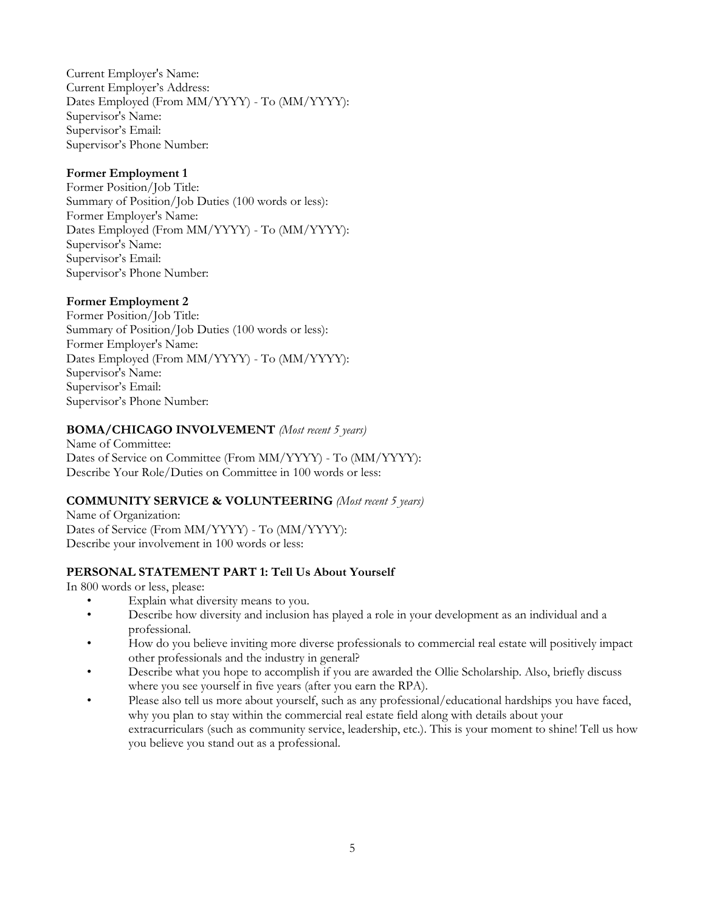Current Employer's Name: Current Employer's Address: Dates Employed (From MM/YYYY) - To (MM/YYYY): Supervisor's Name: Supervisor's Email: Supervisor's Phone Number:

# **Former Employment 1**

Former Position/Job Title: Summary of Position/Job Duties (100 words or less): Former Employer's Name: Dates Employed (From MM/YYYY) - To (MM/YYYY): Supervisor's Name: Supervisor's Email: Supervisor's Phone Number:

# **Former Employment 2**

Former Position/Job Title: Summary of Position/Job Duties (100 words or less): Former Employer's Name: Dates Employed (From MM/YYYY) - To (MM/YYYY): Supervisor's Name: Supervisor's Email: Supervisor's Phone Number:

# **BOMA/CHICAGO INVOLVEMENT** *(Most recent 5 years)*

Name of Committee: Dates of Service on Committee (From MM/YYYY) - To (MM/YYYY): Describe Your Role/Duties on Committee in 100 words or less:

# **COMMUNITY SERVICE & VOLUNTEERING** *(Most recent 5 years)*

Name of Organization: Dates of Service (From MM/YYYY) - To (MM/YYYY): Describe your involvement in 100 words or less:

## **PERSONAL STATEMENT PART 1: Tell Us About Yourself**

In 800 words or less, please:

- Explain what diversity means to you.
- Describe how diversity and inclusion has played a role in your development as an individual and a professional.
- How do you believe inviting more diverse professionals to commercial real estate will positively impact other professionals and the industry in general?
- Describe what you hope to accomplish if you are awarded the Ollie Scholarship. Also, briefly discuss where you see yourself in five years (after you earn the RPA).
- Please also tell us more about yourself, such as any professional/educational hardships you have faced, why you plan to stay within the commercial real estate field along with details about your extracurriculars (such as community service, leadership, etc.). This is your moment to shine! Tell us how you believe you stand out as a professional.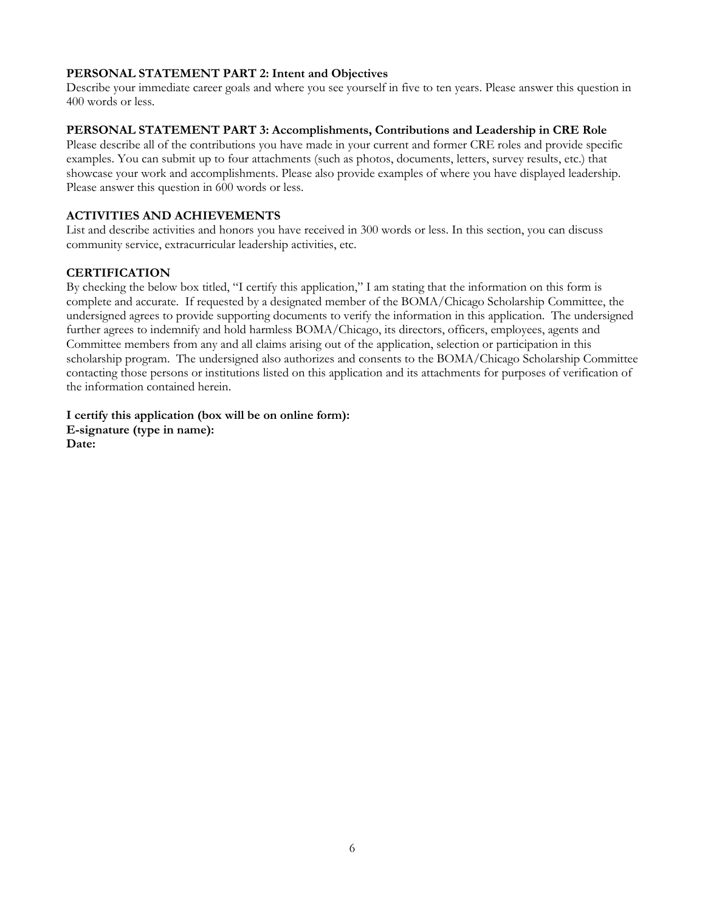# **PERSONAL STATEMENT PART 2: Intent and Objectives**

Describe your immediate career goals and where you see yourself in five to ten years. Please answer this question in 400 words or less.

# **PERSONAL STATEMENT PART 3: Accomplishments, Contributions and Leadership in CRE Role**

Please describe all of the contributions you have made in your current and former CRE roles and provide specific examples. You can submit up to four attachments (such as photos, documents, letters, survey results, etc.) that showcase your work and accomplishments. Please also provide examples of where you have displayed leadership. Please answer this question in 600 words or less.

# **ACTIVITIES AND ACHIEVEMENTS**

List and describe activities and honors you have received in 300 words or less. In this section, you can discuss community service, extracurricular leadership activities, etc.

# **CERTIFICATION**

By checking the below box titled, "I certify this application," I am stating that the information on this form is complete and accurate. If requested by a designated member of the BOMA/Chicago Scholarship Committee, the undersigned agrees to provide supporting documents to verify the information in this application. The undersigned further agrees to indemnify and hold harmless BOMA/Chicago, its directors, officers, employees, agents and Committee members from any and all claims arising out of the application, selection or participation in this scholarship program. The undersigned also authorizes and consents to the BOMA/Chicago Scholarship Committee contacting those persons or institutions listed on this application and its attachments for purposes of verification of the information contained herein.

**I certify this application (box will be on online form): E-signature (type in name): Date:**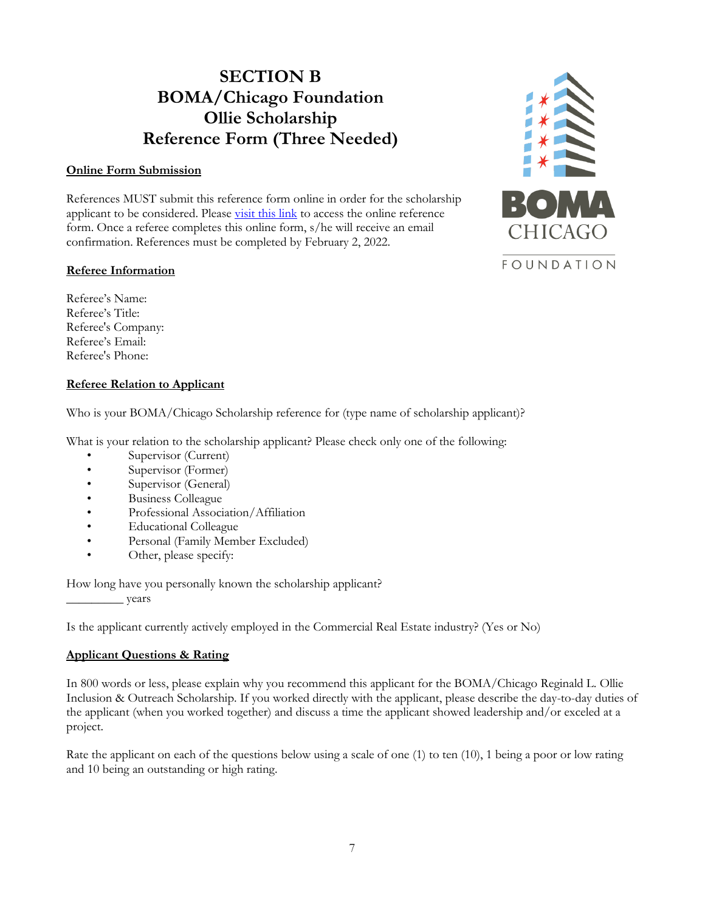# **SECTION B BOMA/Chicago Foundation Ollie Scholarship Reference Form (Three Needed)**

## **Online Form Submission**

References MUST submit this reference form online in order for the scholarship applicant to be considered. Please [visit this link](https://bomachicago.wufoo.com/forms/ollie-scholarship-reference-form-section-b/) to access the online reference form. Once a referee completes this online form, s/he will receive an email confirmation. References must be completed by February 2, 2022.

# **Referee Information**



Referee's Name: Referee's Title: Referee's Company: Referee's Email: Referee's Phone:

# **Referee Relation to Applicant**

Who is your BOMA/Chicago Scholarship reference for (type name of scholarship applicant)?

What is your relation to the scholarship applicant? Please check only one of the following:

- Supervisor (Current)
- Supervisor (Former)
- Supervisor (General)
- Business Colleague
- Professional Association/Affiliation
- Educational Colleague
- Personal (Family Member Excluded)
- Other, please specify:

How long have you personally known the scholarship applicant? \_\_\_\_\_\_\_\_\_ years

Is the applicant currently actively employed in the Commercial Real Estate industry? (Yes or No)

# **Applicant Questions & Rating**

In 800 words or less, please explain why you recommend this applicant for the BOMA/Chicago Reginald L. Ollie Inclusion & Outreach Scholarship. If you worked directly with the applicant, please describe the day-to-day duties of the applicant (when you worked together) and discuss a time the applicant showed leadership and/or exceled at a project.

Rate the applicant on each of the questions below using a scale of one (1) to ten (10), 1 being a poor or low rating and 10 being an outstanding or high rating.